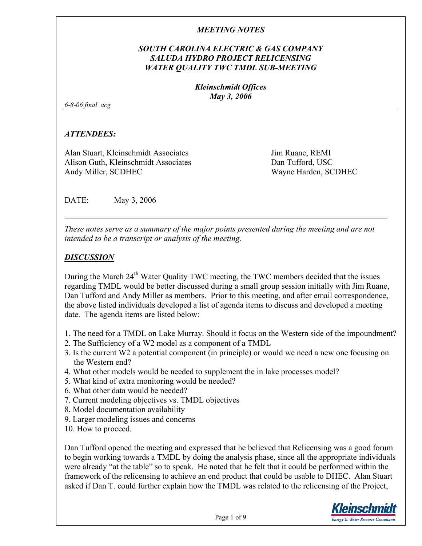# *SOUTH CAROLINA ELECTRIC & GAS COMPANY SALUDA HYDRO PROJECT RELICENSING WATER QUALITY TWC TMDL SUB-MEETING*

*Kleinschmidt Offices May 3, 2006* 

*6-8-06 final acg* 

### *ATTENDEES:*

Alan Stuart, Kleinschmidt Associates Alison Guth, Kleinschmidt Associates Andy Miller, SCDHEC

Jim Ruane, REMI Dan Tufford, USC Wayne Harden, SCDHEC

DATE: May 3, 2006

*These notes serve as a summary of the major points presented during the meeting and are not intended to be a transcript or analysis of the meeting.* 

### *DISCUSSION*

During the March  $24<sup>th</sup>$  Water Quality TWC meeting, the TWC members decided that the issues regarding TMDL would be better discussed during a small group session initially with Jim Ruane, Dan Tufford and Andy Miller as members. Prior to this meeting, and after email correspondence, the above listed individuals developed a list of agenda items to discuss and developed a meeting date. The agenda items are listed below:

- 1. The need for a TMDL on Lake Murray. Should it focus on the Western side of the impoundment?
- 2. The Sufficiency of a W2 model as a component of a TMDL
- 3. Is the current W2 a potential component (in principle) or would we need a new one focusing on the Western end?
- 4. What other models would be needed to supplement the in lake processes model?
- 5. What kind of extra monitoring would be needed?
- 6. What other data would be needed?
- 7. Current modeling objectives vs. TMDL objectives
- 8. Model documentation availability
- 9. Larger modeling issues and concerns
- 10. How to proceed.

Dan Tufford opened the meeting and expressed that he believed that Relicensing was a good forum to begin working towards a TMDL by doing the analysis phase, since all the appropriate individuals were already "at the table" so to speak. He noted that he felt that it could be performed within the framework of the relicensing to achieve an end product that could be usable to DHEC. Alan Stuart asked if Dan T. could further explain how the TMDL was related to the relicensing of the Project,

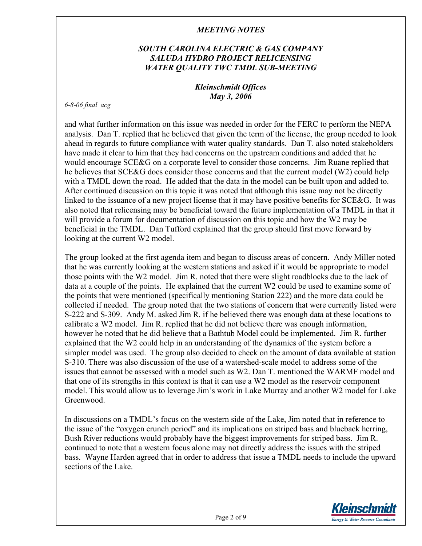# *SOUTH CAROLINA ELECTRIC & GAS COMPANY SALUDA HYDRO PROJECT RELICENSING WATER QUALITY TWC TMDL SUB-MEETING*

### *Kleinschmidt Offices May 3, 2006*

#### *6-8-06 final acg*

and what further information on this issue was needed in order for the FERC to perform the NEPA analysis. Dan T. replied that he believed that given the term of the license, the group needed to look ahead in regards to future compliance with water quality standards. Dan T. also noted stakeholders have made it clear to him that they had concerns on the upstream conditions and added that he would encourage SCE&G on a corporate level to consider those concerns. Jim Ruane replied that he believes that SCE&G does consider those concerns and that the current model (W2) could help with a TMDL down the road. He added that the data in the model can be built upon and added to. After continued discussion on this topic it was noted that although this issue may not be directly linked to the issuance of a new project license that it may have positive benefits for SCE&G. It was also noted that relicensing may be beneficial toward the future implementation of a TMDL in that it will provide a forum for documentation of discussion on this topic and how the W2 may be beneficial in the TMDL. Dan Tufford explained that the group should first move forward by looking at the current W2 model.

The group looked at the first agenda item and began to discuss areas of concern. Andy Miller noted that he was currently looking at the western stations and asked if it would be appropriate to model those points with the W2 model. Jim R. noted that there were slight roadblocks due to the lack of data at a couple of the points. He explained that the current W2 could be used to examine some of the points that were mentioned (specifically mentioning Station 222) and the more data could be collected if needed. The group noted that the two stations of concern that were currently listed were S-222 and S-309. Andy M. asked Jim R. if he believed there was enough data at these locations to calibrate a W2 model. Jim R. replied that he did not believe there was enough information, however he noted that he did believe that a Bathtub Model could be implemented. Jim R. further explained that the W2 could help in an understanding of the dynamics of the system before a simpler model was used. The group also decided to check on the amount of data available at station S-310. There was also discussion of the use of a watershed-scale model to address some of the issues that cannot be assessed with a model such as W2. Dan T. mentioned the WARMF model and that one of its strengths in this context is that it can use a W2 model as the reservoir component model. This would allow us to leverage Jim's work in Lake Murray and another W2 model for Lake Greenwood.

In discussions on a TMDL's focus on the western side of the Lake, Jim noted that in reference to the issue of the "oxygen crunch period" and its implications on striped bass and blueback herring, Bush River reductions would probably have the biggest improvements for striped bass. Jim R. continued to note that a western focus alone may not directly address the issues with the striped bass. Wayne Harden agreed that in order to address that issue a TMDL needs to include the upward sections of the Lake.

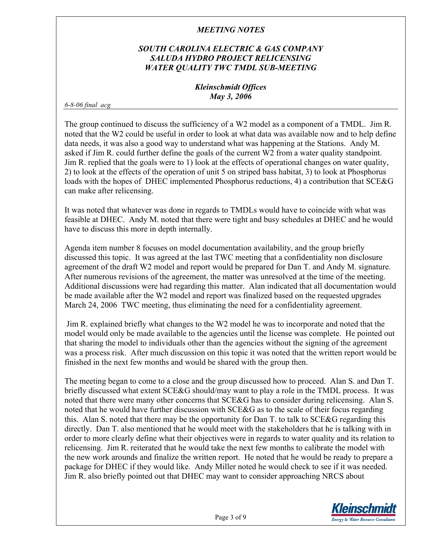# *SOUTH CAROLINA ELECTRIC & GAS COMPANY SALUDA HYDRO PROJECT RELICENSING WATER QUALITY TWC TMDL SUB-MEETING*

### *Kleinschmidt Offices May 3, 2006*

*6-8-06 final acg* 

The group continued to discuss the sufficiency of a W2 model as a component of a TMDL. Jim R. noted that the W2 could be useful in order to look at what data was available now and to help define data needs, it was also a good way to understand what was happening at the Stations. Andy M. asked if Jim R. could further define the goals of the current W2 from a water quality standpoint. Jim R. replied that the goals were to 1) look at the effects of operational changes on water quality, 2) to look at the effects of the operation of unit 5 on striped bass habitat, 3) to look at Phosphorus loads with the hopes of DHEC implemented Phosphorus reductions, 4) a contribution that SCE&G can make after relicensing.

It was noted that whatever was done in regards to TMDLs would have to coincide with what was feasible at DHEC. Andy M. noted that there were tight and busy schedules at DHEC and he would have to discuss this more in depth internally.

Agenda item number 8 focuses on model documentation availability, and the group briefly discussed this topic. It was agreed at the last TWC meeting that a confidentiality non disclosure agreement of the draft W2 model and report would be prepared for Dan T. and Andy M. signature. After numerous revisions of the agreement, the matter was unresolved at the time of the meeting. Additional discussions were had regarding this matter. Alan indicated that all documentation would be made available after the W2 model and report was finalized based on the requested upgrades March 24, 2006 TWC meeting, thus eliminating the need for a confidentiality agreement.

 Jim R. explained briefly what changes to the W2 model he was to incorporate and noted that the model would only be made available to the agencies until the license was complete. He pointed out that sharing the model to individuals other than the agencies without the signing of the agreement was a process risk. After much discussion on this topic it was noted that the written report would be finished in the next few months and would be shared with the group then.

The meeting began to come to a close and the group discussed how to proceed. Alan S. and Dan T. briefly discussed what extent SCE&G should/may want to play a role in the TMDL process. It was noted that there were many other concerns that SCE&G has to consider during relicensing. Alan S. noted that he would have further discussion with SCE&G as to the scale of their focus regarding this. Alan S. noted that there may be the opportunity for Dan T. to talk to SCE&G regarding this directly. Dan T. also mentioned that he would meet with the stakeholders that he is talking with in order to more clearly define what their objectives were in regards to water quality and its relation to relicensing. Jim R. reiterated that he would take the next few months to calibrate the model with the new work arounds and finalize the written report. He noted that he would be ready to prepare a package for DHEC if they would like. Andy Miller noted he would check to see if it was needed. Jim R. also briefly pointed out that DHEC may want to consider approaching NRCS about

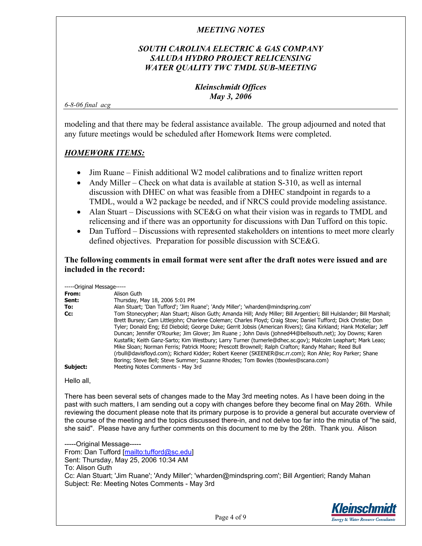# *SOUTH CAROLINA ELECTRIC & GAS COMPANY SALUDA HYDRO PROJECT RELICENSING WATER QUALITY TWC TMDL SUB-MEETING*

### *Kleinschmidt Offices May 3, 2006*

*6-8-06 final acg* 

modeling and that there may be federal assistance available. The group adjourned and noted that any future meetings would be scheduled after Homework Items were completed.

# *HOMEWORK ITEMS:*

- Jim Ruane Finish additional W2 model calibrations and to finalize written report
- Andy Miller Check on what data is available at station S-310, as well as internal discussion with DHEC on what was feasible from a DHEC standpoint in regards to a TMDL, would a W2 package be needed, and if NRCS could provide modeling assistance.
- Alan Stuart Discussions with SCE&G on what their vision was in regards to TMDL and relicensing and if there was an opportunity for discussions with Dan Tufford on this topic.
- Dan Tufford Discussions with represented stakeholders on intentions to meet more clearly defined objectives. Preparation for possible discussion with SCE&G.

### **The following comments in email format were sent after the draft notes were issued and are included in the record:**

-----Original Message-----

| ----------------- |                                                                                                                       |
|-------------------|-----------------------------------------------------------------------------------------------------------------------|
| From:             | Alison Guth                                                                                                           |
| Sent:             | Thursday, May 18, 2006 5:01 PM                                                                                        |
| To:               | Alan Stuart; 'Dan Tufford'; 'Jim Ruane'; 'Andy Miller'; 'wharden@mindspring.com'                                      |
| Cc:               | Tom Stonecypher; Alan Stuart; Alison Guth; Amanda Hill; Andy Miller; Bill Argentieri; Bill Hulslander; Bill Marshall; |
|                   | Brett Bursey; Cam Littlejohn; Charlene Coleman; Charles Floyd; Craig Stow; Daniel Tufford; Dick Christie; Don         |
|                   | Tyler; Donald Eng; Ed Diebold; George Duke; Gerrit Jobsis (American Rivers); Gina Kirkland; Hank McKellar; Jeff       |
|                   | Duncan; Jennifer O'Rourke; Jim Glover; Jim Ruane; John Davis (johned44@bellsouth.net); Joy Downs; Karen               |
|                   | Kustafik; Keith Ganz-Sarto; Kim Westbury; Larry Turner (turnerle@dhec.sc.gov); Malcolm Leaphart; Mark Leao;           |
|                   | Mike Sloan; Norman Ferris; Patrick Moore; Prescott Brownell; Ralph Crafton; Randy Mahan; Reed Bull                    |
|                   | (rbull@davisfloyd.com); Richard Kidder; Robert Keener (SKEENER@sc.rr.com); Ron Ahle; Roy Parker; Shane                |
|                   | Boring; Steve Bell; Steve Summer; Suzanne Rhodes; Tom Bowles (tbowles@scana.com)                                      |
| Subject:          | Meeting Notes Comments - May 3rd                                                                                      |

Hello all,

There has been several sets of changes made to the May 3rd meeting notes. As I have been doing in the past with such matters, I am sending out a copy with changes before they become final on May 26th. While reviewing the document please note that its primary purpose is to provide a general but accurate overview of the course of the meeting and the topics discussed there-in, and not delve too far into the minutia of "he said, she said". Please have any further comments on this document to me by the 26th. Thank you. Alison

-----Original Message----- From: Dan Tufford [mailto:tufford@sc.edu] Sent: Thursday, May 25, 2006 10:34 AM To: Alison Guth Cc: Alan Stuart; 'Jim Ruane'; 'Andy Miller'; 'wharden@mindspring.com'; Bill Argentieri; Randy Mahan Subject: Re: Meeting Notes Comments - May 3rd

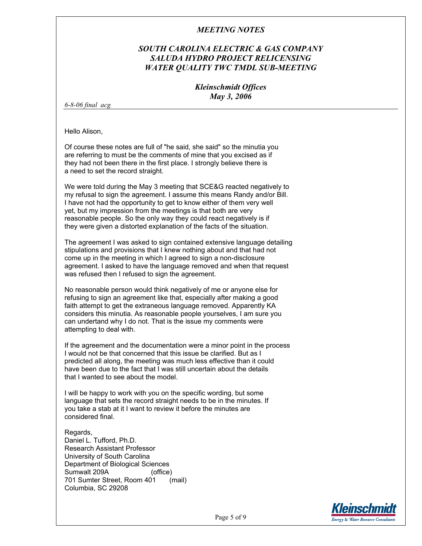### *SOUTH CAROLINA ELECTRIC & GAS COMPANY SALUDA HYDRO PROJECT RELICENSING WATER QUALITY TWC TMDL SUB-MEETING*

#### *Kleinschmidt Offices May 3, 2006*

*6-8-06 final acg* 

Hello Alison,

Of course these notes are full of "he said, she said" so the minutia you are referring to must be the comments of mine that you excised as if they had not been there in the first place. I strongly believe there is a need to set the record straight.

We were told during the May 3 meeting that SCE&G reacted negatively to my refusal to sign the agreement. I assume this means Randy and/or Bill. I have not had the opportunity to get to know either of them very well yet, but my impression from the meetings is that both are very reasonable people. So the only way they could react negatively is if they were given a distorted explanation of the facts of the situation.

The agreement I was asked to sign contained extensive language detailing stipulations and provisions that I knew nothing about and that had not come up in the meeting in which I agreed to sign a non-disclosure agreement. I asked to have the language removed and when that request was refused then I refused to sign the agreement.

No reasonable person would think negatively of me or anyone else for refusing to sign an agreement like that, especially after making a good faith attempt to get the extraneous language removed. Apparently KA considers this minutia. As reasonable people yourselves, I am sure you can undertand why I do not. That is the issue my comments were attempting to deal with.

If the agreement and the documentation were a minor point in the process I would not be that concerned that this issue be clarified. But as I predicted all along, the meeting was much less effective than it could have been due to the fact that I was still uncertain about the details that I wanted to see about the model.

I will be happy to work with you on the specific wording, but some language that sets the record straight needs to be in the minutes. If you take a stab at it I want to review it before the minutes are considered final.

Regards, Daniel L. Tufford, Ph.D. Research Assistant Professor University of South Carolina Department of Biological Sciences Sumwalt 209A (office) 701 Sumter Street, Room 401 (mail) Columbia, SC 29208

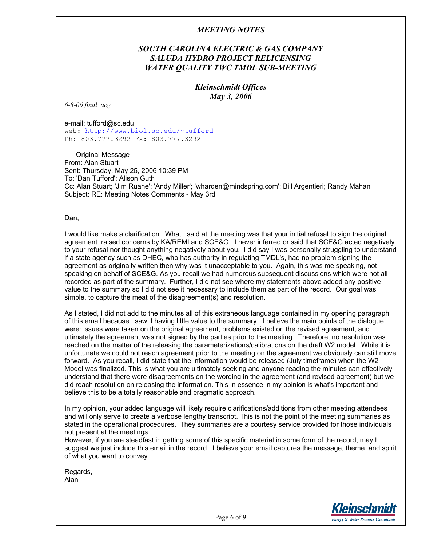### *SOUTH CAROLINA ELECTRIC & GAS COMPANY SALUDA HYDRO PROJECT RELICENSING WATER QUALITY TWC TMDL SUB-MEETING*

#### *Kleinschmidt Offices May 3, 2006*

*6-8-06 final acg* 

e-mail: tufford@sc.edu web: http://www.biol.sc.edu/~tufford Ph: 803.777.3292 Fx: 803.777.3292

-----Original Message----- From: Alan Stuart Sent: Thursday, May 25, 2006 10:39 PM To: 'Dan Tufford'; Alison Guth Cc: Alan Stuart; 'Jim Ruane'; 'Andy Miller'; 'wharden@mindspring.com'; Bill Argentieri; Randy Mahan Subject: RE: Meeting Notes Comments - May 3rd

Dan,

I would like make a clarification. What I said at the meeting was that your initial refusal to sign the original agreement raised concerns by KA/REMI and SCE&G. I never inferred or said that SCE&G acted negatively to your refusal nor thought anything negatively about you. I did say I was personally struggling to understand if a state agency such as DHEC, who has authority in regulating TMDL's, had no problem signing the agreement as originally written then why was it unacceptable to you. Again, this was me speaking, not speaking on behalf of SCE&G. As you recall we had numerous subsequent discussions which were not all recorded as part of the summary. Further, I did not see where my statements above added any positive value to the summary so I did not see it necessary to include them as part of the record. Our goal was simple, to capture the meat of the disagreement(s) and resolution.

As I stated, I did not add to the minutes all of this extraneous language contained in my opening paragraph of this email because I saw it having little value to the summary. I believe the main points of the dialogue were: issues were taken on the original agreement, problems existed on the revised agreement, and ultimately the agreement was not signed by the parties prior to the meeting. Therefore, no resolution was reached on the matter of the releasing the parameterizations/calibrations on the draft W2 model. While it is unfortunate we could not reach agreement prior to the meeting on the agreement we obviously can still move forward. As you recall, I did state that the information would be released (July timeframe) when the W2 Model was finalized. This is what you are ultimately seeking and anyone reading the minutes can effectively understand that there were disagreements on the wording in the agreement (and revised agreement) but we did reach resolution on releasing the information. This in essence in my opinion is what's important and believe this to be a totally reasonable and pragmatic approach.

In my opinion, your added language will likely require clarifications/additions from other meeting attendees and will only serve to create a verbose lengthy transcript. This is not the point of the meeting summaries as stated in the operational procedures. They summaries are a courtesy service provided for those individuals not present at the meetings.

However, if you are steadfast in getting some of this specific material in some form of the record, may I suggest we just include this email in the record. I believe your email captures the message, theme, and spirit of what you want to convey.

Regards, Alan

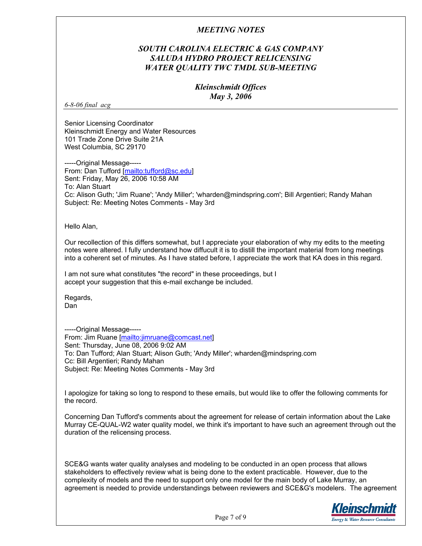### *SOUTH CAROLINA ELECTRIC & GAS COMPANY SALUDA HYDRO PROJECT RELICENSING WATER QUALITY TWC TMDL SUB-MEETING*

#### *Kleinschmidt Offices May 3, 2006*

*6-8-06 final acg* 

Senior Licensing Coordinator Kleinschmidt Energy and Water Resources 101 Trade Zone Drive Suite 21A West Columbia, SC 29170

-----Original Message----- From: Dan Tufford [mailto:tufford@sc.edu] Sent: Friday, May 26, 2006 10:58 AM To: Alan Stuart Cc: Alison Guth; 'Jim Ruane'; 'Andy Miller'; 'wharden@mindspring.com'; Bill Argentieri; Randy Mahan Subject: Re: Meeting Notes Comments - May 3rd

Hello Alan,

Our recollection of this differs somewhat, but I appreciate your elaboration of why my edits to the meeting notes were altered. I fully understand how diffucult it is to distill the important material from long meetings into a coherent set of minutes. As I have stated before, I appreciate the work that KA does in this regard.

I am not sure what constitutes "the record" in these proceedings, but I accept your suggestion that this e-mail exchange be included.

Regards, Dan

-----Original Message----- From: Jim Ruane [mailto:jimruane@comcast.net] Sent: Thursday, June 08, 2006 9:02 AM To: Dan Tufford; Alan Stuart; Alison Guth; 'Andy Miller'; wharden@mindspring.com Cc: Bill Argentieri; Randy Mahan Subject: Re: Meeting Notes Comments - May 3rd

I apologize for taking so long to respond to these emails, but would like to offer the following comments for the record.

Concerning Dan Tufford's comments about the agreement for release of certain information about the Lake Murray CE-QUAL-W2 water quality model, we think it's important to have such an agreement through out the duration of the relicensing process.

SCE&G wants water quality analyses and modeling to be conducted in an open process that allows stakeholders to effectively review what is being done to the extent practicable. However, due to the complexity of models and the need to support only one model for the main body of Lake Murray, an agreement is needed to provide understandings between reviewers and SCE&G's modelers. The agreement

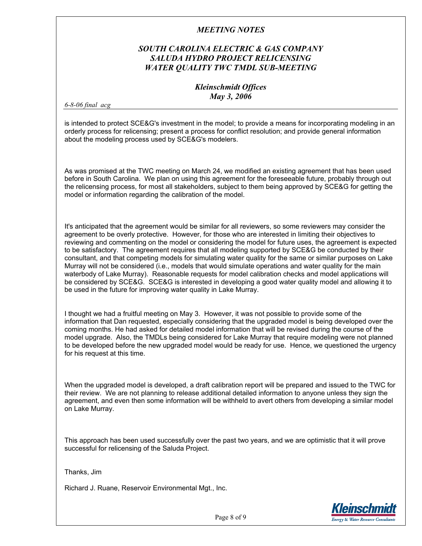# *SOUTH CAROLINA ELECTRIC & GAS COMPANY SALUDA HYDRO PROJECT RELICENSING WATER QUALITY TWC TMDL SUB-MEETING*

### *Kleinschmidt Offices May 3, 2006*

*6-8-06 final acg* 

is intended to protect SCE&G's investment in the model; to provide a means for incorporating modeling in an orderly process for relicensing; present a process for conflict resolution; and provide general information about the modeling process used by SCE&G's modelers.

As was promised at the TWC meeting on March 24, we modified an existing agreement that has been used before in South Carolina. We plan on using this agreement for the foreseeable future, probably through out the relicensing process, for most all stakeholders, subject to them being approved by SCE&G for getting the model or information regarding the calibration of the model.

It's anticipated that the agreement would be similar for all reviewers, so some reviewers may consider the agreement to be overly protective. However, for those who are interested in limiting their objectives to reviewing and commenting on the model or considering the model for future uses, the agreement is expected to be satisfactory. The agreement requires that all modeling supported by SCE&G be conducted by their consultant, and that competing models for simulating water quality for the same or similar purposes on Lake Murray will not be considered (i.e., models that would simulate operations and water quality for the main waterbody of Lake Murray). Reasonable requests for model calibration checks and model applications will be considered by SCE&G. SCE&G is interested in developing a good water quality model and allowing it to be used in the future for improving water quality in Lake Murray.

I thought we had a fruitful meeting on May 3. However, it was not possible to provide some of the information that Dan requested, especially considering that the upgraded model is being developed over the coming months. He had asked for detailed model information that will be revised during the course of the model upgrade. Also, the TMDLs being considered for Lake Murray that require modeling were not planned to be developed before the new upgraded model would be ready for use. Hence, we questioned the urgency for his request at this time.

When the upgraded model is developed, a draft calibration report will be prepared and issued to the TWC for their review. We are not planning to release additional detailed information to anyone unless they sign the agreement, and even then some information will be withheld to avert others from developing a similar model on Lake Murray.

This approach has been used successfully over the past two years, and we are optimistic that it will prove successful for relicensing of the Saluda Project.

Thanks, Jim

Richard J. Ruane, Reservoir Environmental Mgt., Inc.